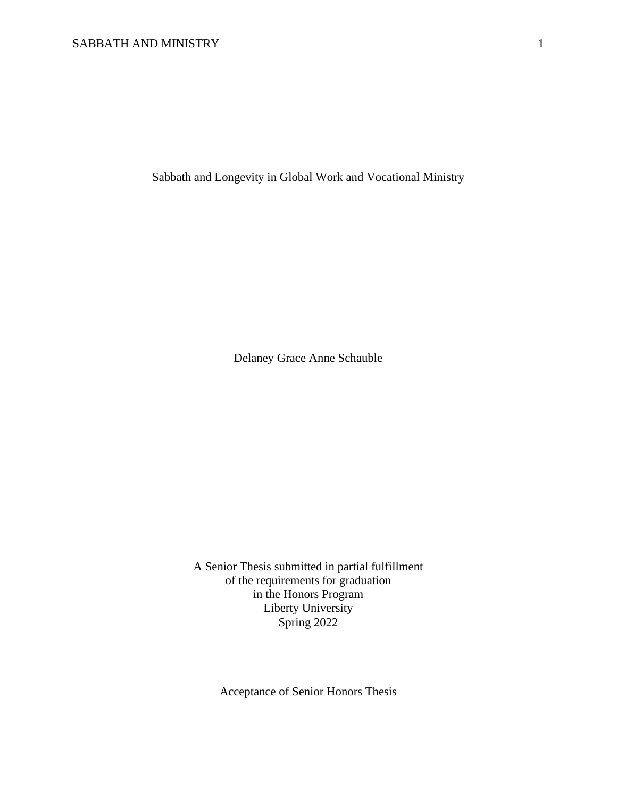Sabbath and Longevity in Global Work and Vocational Ministry

Delaney Grace Anne Schauble

A Senior Thesis submitted in partial fulfillment of the requirements for graduation in the Honors Program Liberty University Spring 2022

Acceptance of Senior Honors Thesis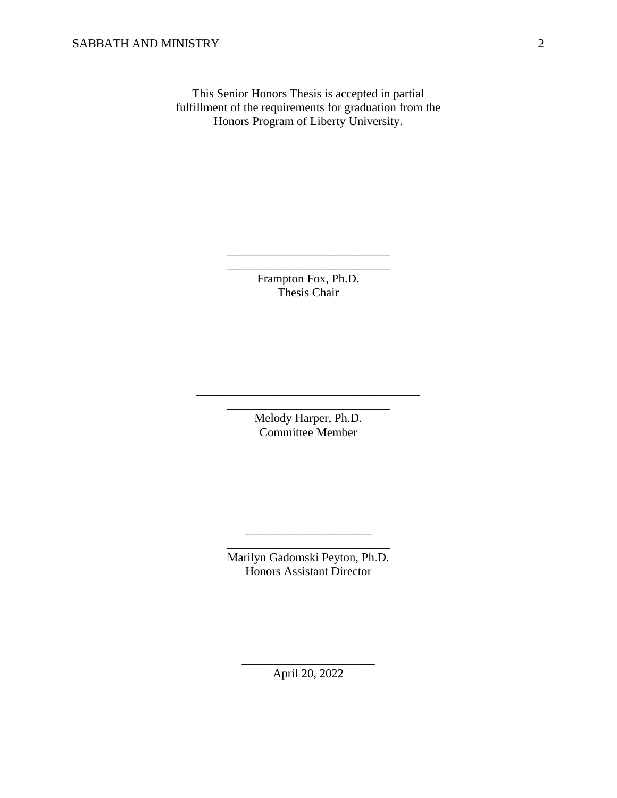This Senior Honors Thesis is accepted in partial fulfillment of the requirements for graduation from the Honors Program of Liberty University.

> Frampton Fox, Ph.D. Thesis Chair

\_\_\_\_\_\_\_\_\_\_\_\_\_\_\_\_\_\_\_\_\_\_\_\_\_\_\_ \_\_\_\_\_\_\_\_\_\_\_\_\_\_\_\_\_\_\_\_\_\_\_\_\_\_\_

> Melody Harper, Ph.D. Committee Member

\_\_\_\_\_\_\_\_\_\_\_\_\_\_\_\_\_\_\_\_\_\_\_\_\_\_\_\_\_\_\_\_\_\_\_\_\_ \_\_\_\_\_\_\_\_\_\_\_\_\_\_\_\_\_\_\_\_\_\_\_\_\_\_\_

> Marilyn Gadomski Peyton, Ph.D. Honors Assistant Director

\_\_\_\_\_\_\_\_\_\_\_\_\_\_\_\_\_\_\_\_\_ \_\_\_\_\_\_\_\_\_\_\_\_\_\_\_\_\_\_\_\_\_\_\_\_\_\_\_

\_\_\_\_\_\_\_\_\_\_\_\_\_\_\_\_\_\_\_\_\_\_ April 20, 2022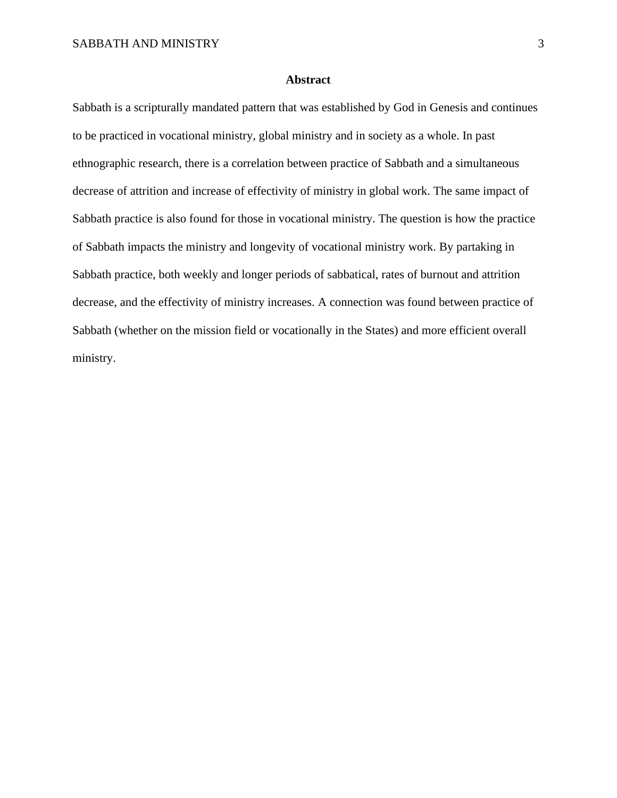## **Abstract**

Sabbath is a scripturally mandated pattern that was established by God in Genesis and continues to be practiced in vocational ministry, global ministry and in society as a whole. In past ethnographic research, there is a correlation between practice of Sabbath and a simultaneous decrease of attrition and increase of effectivity of ministry in global work. The same impact of Sabbath practice is also found for those in vocational ministry. The question is how the practice of Sabbath impacts the ministry and longevity of vocational ministry work. By partaking in Sabbath practice, both weekly and longer periods of sabbatical, rates of burnout and attrition decrease, and the effectivity of ministry increases. A connection was found between practice of Sabbath (whether on the mission field or vocationally in the States) and more efficient overall ministry.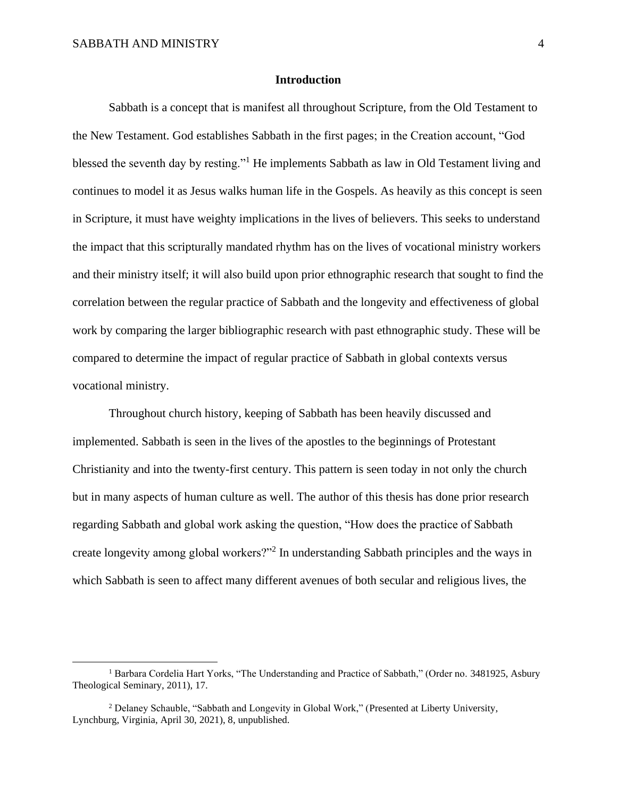### **Introduction**

Sabbath is a concept that is manifest all throughout Scripture, from the Old Testament to the New Testament. God establishes Sabbath in the first pages; in the Creation account, "God blessed the seventh day by resting."<sup>1</sup> He implements Sabbath as law in Old Testament living and continues to model it as Jesus walks human life in the Gospels. As heavily as this concept is seen in Scripture, it must have weighty implications in the lives of believers. This seeks to understand the impact that this scripturally mandated rhythm has on the lives of vocational ministry workers and their ministry itself; it will also build upon prior ethnographic research that sought to find the correlation between the regular practice of Sabbath and the longevity and effectiveness of global work by comparing the larger bibliographic research with past ethnographic study. These will be compared to determine the impact of regular practice of Sabbath in global contexts versus vocational ministry.

Throughout church history, keeping of Sabbath has been heavily discussed and implemented. Sabbath is seen in the lives of the apostles to the beginnings of Protestant Christianity and into the twenty-first century. This pattern is seen today in not only the church but in many aspects of human culture as well. The author of this thesis has done prior research regarding Sabbath and global work asking the question, "How does the practice of Sabbath create longevity among global workers?"<sup>2</sup> In understanding Sabbath principles and the ways in which Sabbath is seen to affect many different avenues of both secular and religious lives, the

<sup>&</sup>lt;sup>1</sup> Barbara Cordelia Hart Yorks, "The Understanding and Practice of Sabbath," (Order no. 3481925, Asbury Theological Seminary, 2011), 17.

<sup>&</sup>lt;sup>2</sup> Delaney Schauble, "Sabbath and Longevity in Global Work," (Presented at Liberty University, Lynchburg, Virginia, April 30, 2021), 8, unpublished.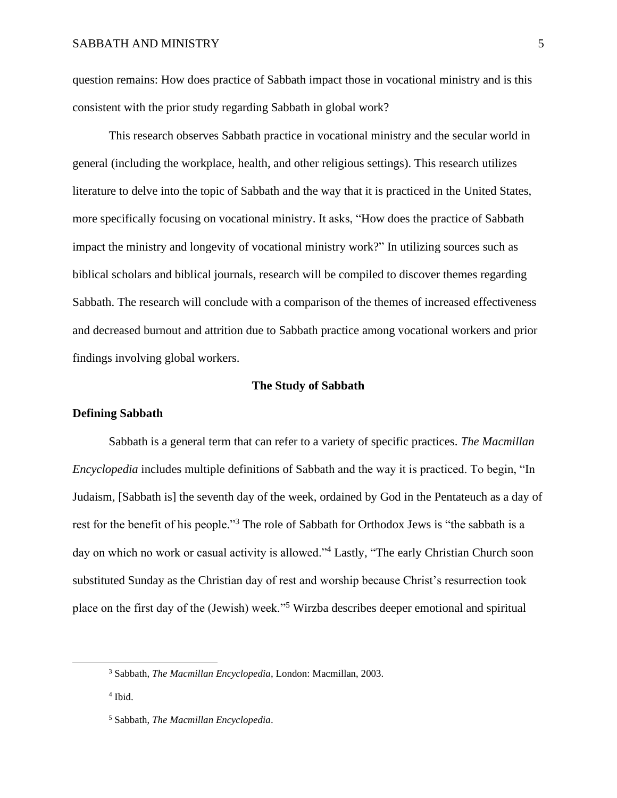question remains: How does practice of Sabbath impact those in vocational ministry and is this consistent with the prior study regarding Sabbath in global work?

This research observes Sabbath practice in vocational ministry and the secular world in general (including the workplace, health, and other religious settings). This research utilizes literature to delve into the topic of Sabbath and the way that it is practiced in the United States, more specifically focusing on vocational ministry. It asks, "How does the practice of Sabbath impact the ministry and longevity of vocational ministry work?" In utilizing sources such as biblical scholars and biblical journals, research will be compiled to discover themes regarding Sabbath. The research will conclude with a comparison of the themes of increased effectiveness and decreased burnout and attrition due to Sabbath practice among vocational workers and prior findings involving global workers.

## **The Study of Sabbath**

#### **Defining Sabbath**

Sabbath is a general term that can refer to a variety of specific practices. *The Macmillan Encyclopedia* includes multiple definitions of Sabbath and the way it is practiced. To begin, "In Judaism, [Sabbath is] the seventh day of the week, ordained by God in the Pentateuch as a day of rest for the benefit of his people."<sup>3</sup> The role of Sabbath for Orthodox Jews is "the sabbath is a day on which no work or casual activity is allowed."<sup>4</sup> Lastly, "The early Christian Church soon substituted Sunday as the Christian day of rest and worship because Christ's resurrection took place on the first day of the (Jewish) week."<sup>5</sup> Wirzba describes deeper emotional and spiritual

<sup>3</sup> Sabbath*, The Macmillan Encyclopedia*, London: Macmillan, 2003.

<sup>4</sup> Ibid.

<sup>5</sup> Sabbath, *The Macmillan Encyclopedia*.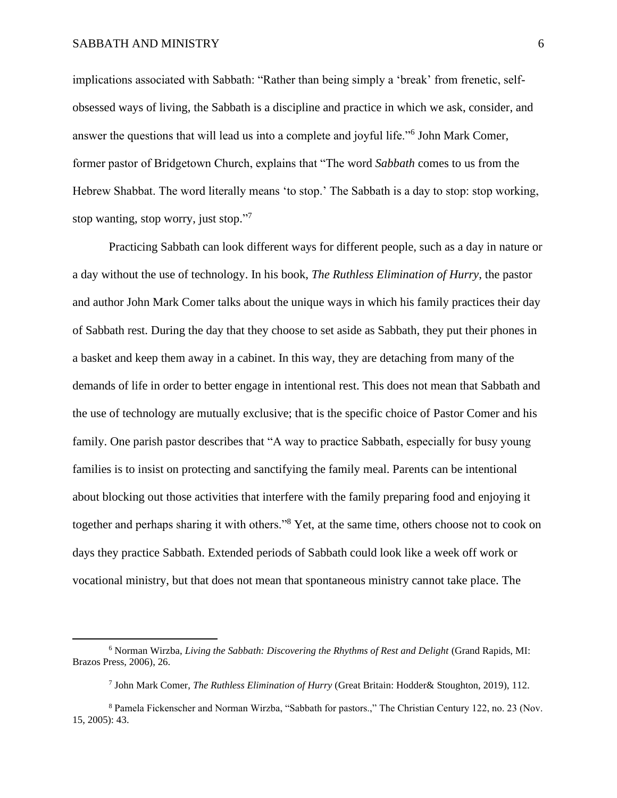implications associated with Sabbath: "Rather than being simply a 'break' from frenetic, selfobsessed ways of living, the Sabbath is a discipline and practice in which we ask, consider, and answer the questions that will lead us into a complete and joyful life."<sup>6</sup> John Mark Comer, former pastor of Bridgetown Church, explains that "The word *Sabbath* comes to us from the Hebrew Shabbat. The word literally means 'to stop.' The Sabbath is a day to stop: stop working, stop wanting, stop worry, just stop."7

Practicing Sabbath can look different ways for different people, such as a day in nature or a day without the use of technology. In his book, *The Ruthless Elimination of Hurry*, the pastor and author John Mark Comer talks about the unique ways in which his family practices their day of Sabbath rest. During the day that they choose to set aside as Sabbath, they put their phones in a basket and keep them away in a cabinet. In this way, they are detaching from many of the demands of life in order to better engage in intentional rest. This does not mean that Sabbath and the use of technology are mutually exclusive; that is the specific choice of Pastor Comer and his family. One parish pastor describes that "A way to practice Sabbath, especially for busy young families is to insist on protecting and sanctifying the family meal. Parents can be intentional about blocking out those activities that interfere with the family preparing food and enjoying it together and perhaps sharing it with others."<sup>8</sup> Yet, at the same time, others choose not to cook on days they practice Sabbath. Extended periods of Sabbath could look like a week off work or vocational ministry, but that does not mean that spontaneous ministry cannot take place. The

<sup>6</sup> Norman Wirzba, *Living the Sabbath: Discovering the Rhythms of Rest and Delight* (Grand Rapids, MI: Brazos Press, 2006), 26.

<sup>7</sup> John Mark Comer, *The Ruthless Elimination of Hurry* (Great Britain: Hodder& Stoughton, 2019), 112.

<sup>8</sup> Pamela Fickenscher and Norman Wirzba, "Sabbath for pastors.," The Christian Century 122, no. 23 (Nov. 15, 2005): 43.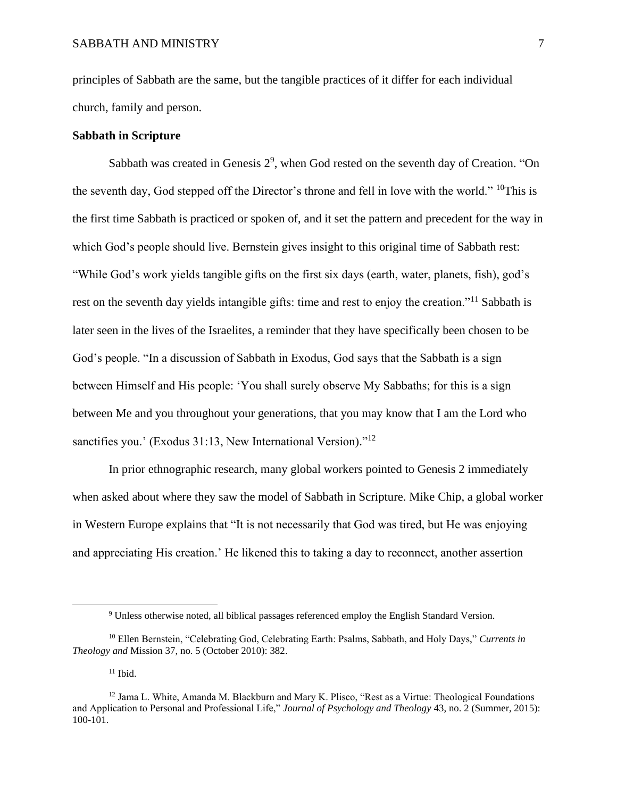principles of Sabbath are the same, but the tangible practices of it differ for each individual church, family and person.

## **Sabbath in Scripture**

Sabbath was created in Genesis  $2^9$ , when God rested on the seventh day of Creation. "On the seventh day, God stepped off the Director's throne and fell in love with the world."  $^{10}$ This is the first time Sabbath is practiced or spoken of, and it set the pattern and precedent for the way in which God's people should live. Bernstein gives insight to this original time of Sabbath rest: "While God's work yields tangible gifts on the first six days (earth, water, planets, fish), god's rest on the seventh day yields intangible gifts: time and rest to enjoy the creation."<sup>11</sup> Sabbath is later seen in the lives of the Israelites, a reminder that they have specifically been chosen to be God's people. "In a discussion of Sabbath in Exodus, God says that the Sabbath is a sign between Himself and His people: 'You shall surely observe My Sabbaths; for this is a sign between Me and you throughout your generations, that you may know that I am the Lord who sanctifies you.' (Exodus 31:13, New International Version)."<sup>12</sup>

In prior ethnographic research, many global workers pointed to Genesis 2 immediately when asked about where they saw the model of Sabbath in Scripture. Mike Chip, a global worker in Western Europe explains that "It is not necessarily that God was tired, but He was enjoying and appreciating His creation.' He likened this to taking a day to reconnect, another assertion

<sup>9</sup> Unless otherwise noted, all biblical passages referenced employ the English Standard Version.

<sup>10</sup> Ellen Bernstein, "Celebrating God, Celebrating Earth: Psalms, Sabbath, and Holy Days," *Currents in Theology and* Mission 37, no. 5 (October 2010): 382.

 $11$  Ibid.

 $12$  Jama L. White, Amanda M. Blackburn and Mary K. Plisco, "Rest as a Virtue: Theological Foundations and Application to Personal and Professional Life," *Journal of Psychology and Theology* 43, no. 2 (Summer, 2015): 100-101.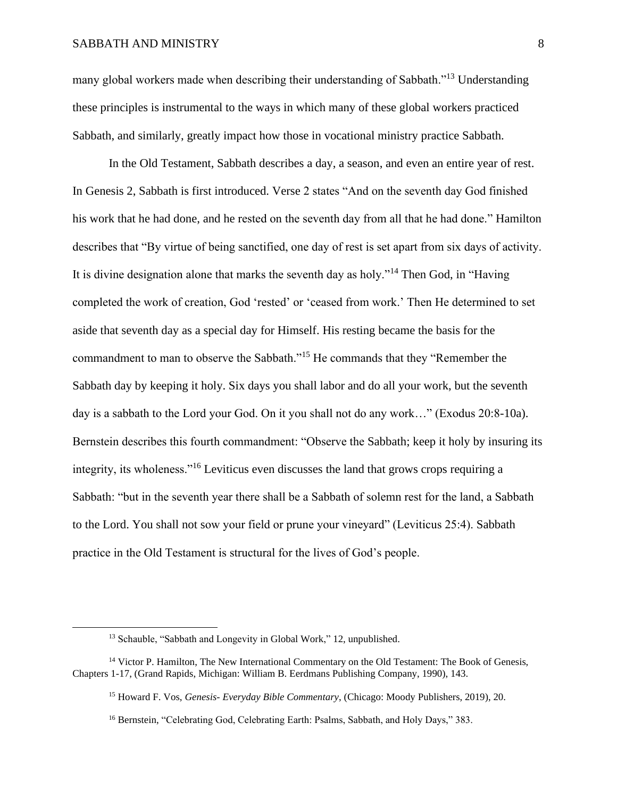many global workers made when describing their understanding of Sabbath."<sup>13</sup> Understanding these principles is instrumental to the ways in which many of these global workers practiced Sabbath, and similarly, greatly impact how those in vocational ministry practice Sabbath.

In the Old Testament, Sabbath describes a day, a season, and even an entire year of rest. In Genesis 2, Sabbath is first introduced. Verse 2 states "And on the seventh day God finished his work that he had done, and he rested on the seventh day from all that he had done." Hamilton describes that "By virtue of being sanctified, one day of rest is set apart from six days of activity. It is divine designation alone that marks the seventh day as holy."<sup>14</sup> Then God, in "Having completed the work of creation, God 'rested' or 'ceased from work.' Then He determined to set aside that seventh day as a special day for Himself. His resting became the basis for the commandment to man to observe the Sabbath."<sup>15</sup> He commands that they "Remember the Sabbath day by keeping it holy. Six days you shall labor and do all your work, but the seventh day is a sabbath to the Lord your God. On it you shall not do any work…" (Exodus 20:8-10a). Bernstein describes this fourth commandment: "Observe the Sabbath; keep it holy by insuring its integrity, its wholeness."<sup>16</sup> Leviticus even discusses the land that grows crops requiring a Sabbath: "but in the seventh year there shall be a Sabbath of solemn rest for the land, a Sabbath to the Lord. You shall not sow your field or prune your vineyard" (Leviticus 25:4). Sabbath practice in the Old Testament is structural for the lives of God's people.

<sup>&</sup>lt;sup>13</sup> Schauble, "Sabbath and Longevity in Global Work," 12, unpublished.

<sup>&</sup>lt;sup>14</sup> Victor P. Hamilton, The New International Commentary on the Old Testament: The Book of Genesis, Chapters 1-17, (Grand Rapids, Michigan: William B. Eerdmans Publishing Company, 1990), 143.

<sup>15</sup> Howard F. Vos, *Genesis- Everyday Bible Commentary*, (Chicago: Moody Publishers, 2019), 20.

<sup>&</sup>lt;sup>16</sup> Bernstein, "Celebrating God, Celebrating Earth: Psalms, Sabbath, and Holy Days," 383.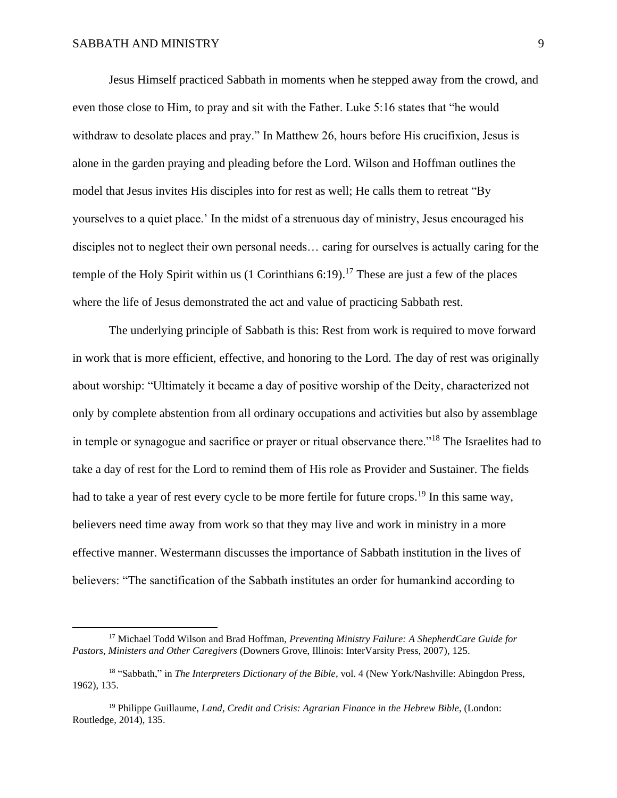Jesus Himself practiced Sabbath in moments when he stepped away from the crowd, and even those close to Him, to pray and sit with the Father. Luke 5:16 states that "he would withdraw to desolate places and pray." In Matthew 26, hours before His crucifixion, Jesus is alone in the garden praying and pleading before the Lord. Wilson and Hoffman outlines the model that Jesus invites His disciples into for rest as well; He calls them to retreat "By yourselves to a quiet place.' In the midst of a strenuous day of ministry, Jesus encouraged his disciples not to neglect their own personal needs… caring for ourselves is actually caring for the temple of the Holy Spirit within us  $(1 \text{ Corinthians } 6:19)$ .<sup>17</sup> These are just a few of the places where the life of Jesus demonstrated the act and value of practicing Sabbath rest.

The underlying principle of Sabbath is this: Rest from work is required to move forward in work that is more efficient, effective, and honoring to the Lord. The day of rest was originally about worship: "Ultimately it became a day of positive worship of the Deity, characterized not only by complete abstention from all ordinary occupations and activities but also by assemblage in temple or synagogue and sacrifice or prayer or ritual observance there."<sup>18</sup> The Israelites had to take a day of rest for the Lord to remind them of His role as Provider and Sustainer. The fields had to take a year of rest every cycle to be more fertile for future crops.<sup>19</sup> In this same way, believers need time away from work so that they may live and work in ministry in a more effective manner. Westermann discusses the importance of Sabbath institution in the lives of believers: "The sanctification of the Sabbath institutes an order for humankind according to

<sup>17</sup> Michael Todd Wilson and Brad Hoffman, *Preventing Ministry Failure: A ShepherdCare Guide for Pastors, Ministers and Other Caregivers* (Downers Grove, Illinois: InterVarsity Press, 2007), 125.

<sup>18</sup> "Sabbath," in *The Interpreters Dictionary of the Bible*, vol. 4 (New York/Nashville: Abingdon Press, 1962), 135.

<sup>19</sup> Philippe Guillaume, *Land, Credit and Crisis: Agrarian Finance in the Hebrew Bible*, (London: Routledge, 2014), 135.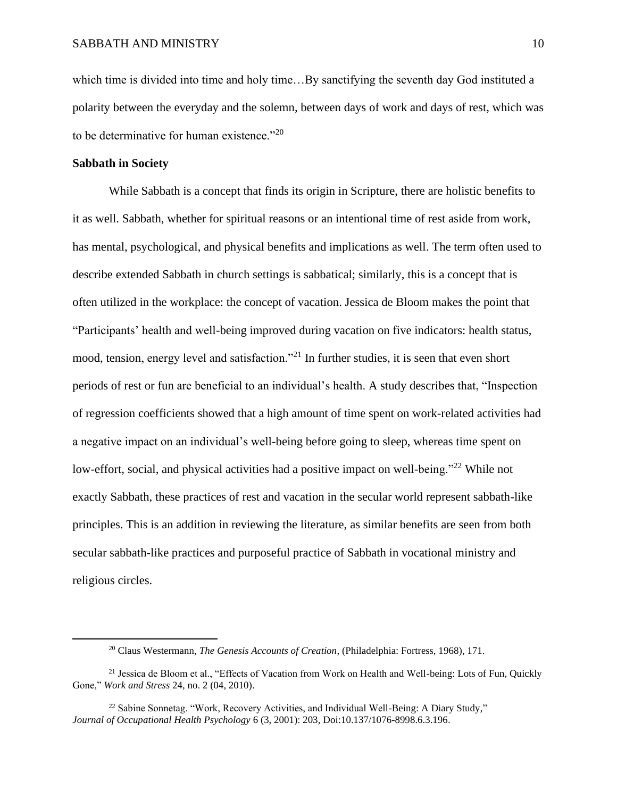which time is divided into time and holy time…By sanctifying the seventh day God instituted a polarity between the everyday and the solemn, between days of work and days of rest, which was to be determinative for human existence."<sup>20</sup>

## **Sabbath in Society**

While Sabbath is a concept that finds its origin in Scripture, there are holistic benefits to it as well. Sabbath, whether for spiritual reasons or an intentional time of rest aside from work, has mental, psychological, and physical benefits and implications as well. The term often used to describe extended Sabbath in church settings is sabbatical; similarly, this is a concept that is often utilized in the workplace: the concept of vacation. Jessica de Bloom makes the point that "Participants' health and well-being improved during vacation on five indicators: health status, mood, tension, energy level and satisfaction."<sup>21</sup> In further studies, it is seen that even short periods of rest or fun are beneficial to an individual's health. A study describes that, "Inspection of regression coefficients showed that a high amount of time spent on work-related activities had a negative impact on an individual's well-being before going to sleep, whereas time spent on low-effort, social, and physical activities had a positive impact on well-being."<sup>22</sup> While not exactly Sabbath, these practices of rest and vacation in the secular world represent sabbath-like principles. This is an addition in reviewing the literature, as similar benefits are seen from both secular sabbath-like practices and purposeful practice of Sabbath in vocational ministry and religious circles.

<sup>20</sup> Claus Westermann, *The Genesis Accounts of Creation*, (Philadelphia: Fortress, 1968), 171.

<sup>&</sup>lt;sup>21</sup> Jessica de Bloom et al., "Effects of Vacation from Work on Health and Well-being: Lots of Fun, Quickly Gone," *Work and Stress* 24, no. 2 (04, 2010).

 $^{22}$  Sabine Sonnetag. "Work, Recovery Activities, and Individual Well-Being: A Diary Study," *Journal of Occupational Health Psychology* 6 (3, 2001): 203, Doi:10.137/1076-8998.6.3.196.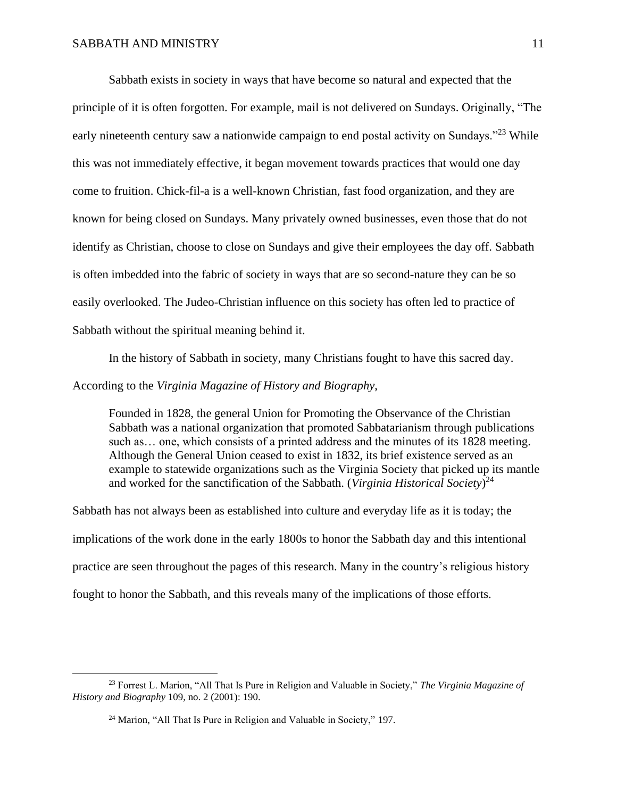Sabbath exists in society in ways that have become so natural and expected that the principle of it is often forgotten. For example, mail is not delivered on Sundays. Originally, "The early nineteenth century saw a nationwide campaign to end postal activity on Sundays."<sup>23</sup> While this was not immediately effective, it began movement towards practices that would one day come to fruition. Chick-fil-a is a well-known Christian, fast food organization, and they are known for being closed on Sundays. Many privately owned businesses, even those that do not identify as Christian, choose to close on Sundays and give their employees the day off. Sabbath is often imbedded into the fabric of society in ways that are so second-nature they can be so easily overlooked. The Judeo-Christian influence on this society has often led to practice of Sabbath without the spiritual meaning behind it.

In the history of Sabbath in society, many Christians fought to have this sacred day.

According to the *Virginia Magazine of History and Biography*,

Founded in 1828, the general Union for Promoting the Observance of the Christian Sabbath was a national organization that promoted Sabbatarianism through publications such as… one, which consists of a printed address and the minutes of its 1828 meeting. Although the General Union ceased to exist in 1832, its brief existence served as an example to statewide organizations such as the Virginia Society that picked up its mantle and worked for the sanctification of the Sabbath. (*Virginia Historical Society*) 24

Sabbath has not always been as established into culture and everyday life as it is today; the implications of the work done in the early 1800s to honor the Sabbath day and this intentional practice are seen throughout the pages of this research. Many in the country's religious history fought to honor the Sabbath, and this reveals many of the implications of those efforts.

<sup>23</sup> Forrest L. Marion, "All That Is Pure in Religion and Valuable in Society," *The Virginia Magazine of History and Biography* 109, no. 2 (2001): 190.

<sup>&</sup>lt;sup>24</sup> Marion, "All That Is Pure in Religion and Valuable in Society," 197.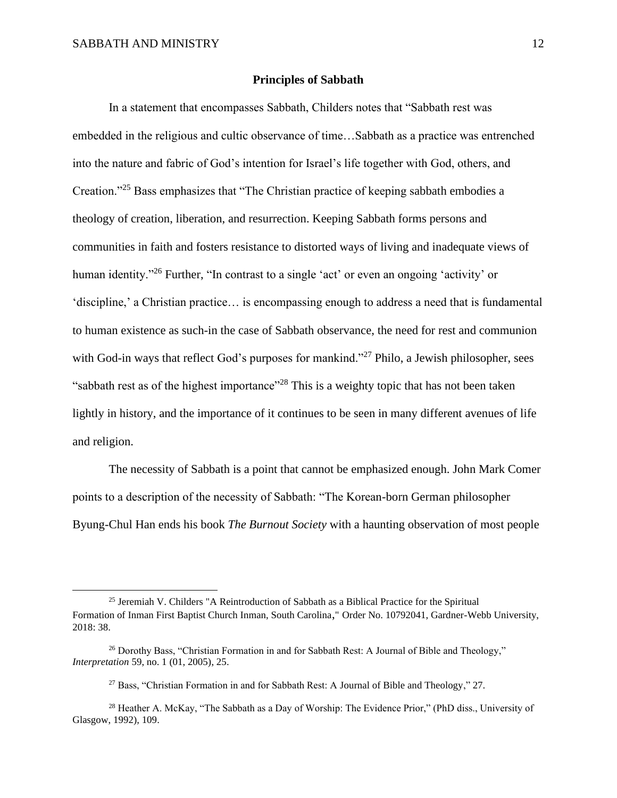## **Principles of Sabbath**

In a statement that encompasses Sabbath, Childers notes that "Sabbath rest was embedded in the religious and cultic observance of time…Sabbath as a practice was entrenched into the nature and fabric of God's intention for Israel's life together with God, others, and Creation."<sup>25</sup> Bass emphasizes that "The Christian practice of keeping sabbath embodies a theology of creation, liberation, and resurrection. Keeping Sabbath forms persons and communities in faith and fosters resistance to distorted ways of living and inadequate views of human identity."<sup>26</sup> Further, "In contrast to a single 'act' or even an ongoing 'activity' or 'discipline,' a Christian practice… is encompassing enough to address a need that is fundamental to human existence as such-in the case of Sabbath observance, the need for rest and communion with God-in ways that reflect God's purposes for mankind."<sup>27</sup> Philo, a Jewish philosopher, sees "sabbath rest as of the highest importance"<sup>28</sup> This is a weighty topic that has not been taken lightly in history, and the importance of it continues to be seen in many different avenues of life and religion.

The necessity of Sabbath is a point that cannot be emphasized enough. John Mark Comer points to a description of the necessity of Sabbath: "The Korean-born German philosopher Byung-Chul Han ends his book *The Burnout Society* with a haunting observation of most people

<sup>&</sup>lt;sup>25</sup> Jeremiah V. Childers "A Reintroduction of Sabbath as a Biblical Practice for the Spiritual Formation of Inman First Baptist Church Inman, South Carolina," Order No. 10792041, Gardner-Webb University, 2018: 38.

<sup>&</sup>lt;sup>26</sup> Dorothy Bass, "Christian Formation in and for Sabbath Rest: A Journal of Bible and Theology," *Interpretation* 59, no. 1 (01, 2005), 25.

<sup>27</sup> Bass, "Christian Formation in and for Sabbath Rest: A Journal of Bible and Theology," 27.

<sup>&</sup>lt;sup>28</sup> Heather A. McKay, "The Sabbath as a Day of Worship: The Evidence Prior," (PhD diss., University of Glasgow, 1992), 109.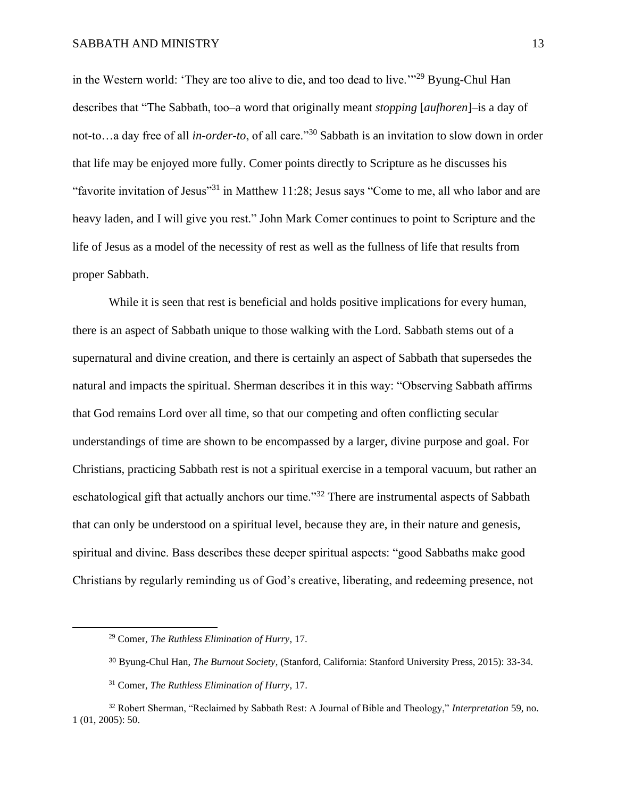in the Western world: 'They are too alive to die, and too dead to live.'"<sup>29</sup> Byung-Chul Han describes that "The Sabbath, too–a word that originally meant *stopping* [*aufhoren*]–is a day of not-to…a day free of all *in-order-to*, of all care."<sup>30</sup> Sabbath is an invitation to slow down in order that life may be enjoyed more fully. Comer points directly to Scripture as he discusses his "favorite invitation of Jesus"<sup>31</sup> in Matthew 11:28; Jesus says "Come to me, all who labor and are heavy laden, and I will give you rest." John Mark Comer continues to point to Scripture and the life of Jesus as a model of the necessity of rest as well as the fullness of life that results from proper Sabbath.

While it is seen that rest is beneficial and holds positive implications for every human, there is an aspect of Sabbath unique to those walking with the Lord. Sabbath stems out of a supernatural and divine creation, and there is certainly an aspect of Sabbath that supersedes the natural and impacts the spiritual. Sherman describes it in this way: "Observing Sabbath affirms that God remains Lord over all time, so that our competing and often conflicting secular understandings of time are shown to be encompassed by a larger, divine purpose and goal. For Christians, practicing Sabbath rest is not a spiritual exercise in a temporal vacuum, but rather an eschatological gift that actually anchors our time."<sup>32</sup> There are instrumental aspects of Sabbath that can only be understood on a spiritual level, because they are, in their nature and genesis, spiritual and divine. Bass describes these deeper spiritual aspects: "good Sabbaths make good Christians by regularly reminding us of God's creative, liberating, and redeeming presence, not

<sup>29</sup> Comer, *The Ruthless Elimination of Hurry*, 17.

<sup>30</sup> Byung-Chul Han, *The Burnout Society*, (Stanford, California: Stanford University Press, 2015): 33-34.

<sup>31</sup> Comer, *The Ruthless Elimination of Hurry*, 17.

<sup>32</sup> Robert Sherman, "Reclaimed by Sabbath Rest: A Journal of Bible and Theology," *Interpretation* 59, no. 1 (01, 2005): 50.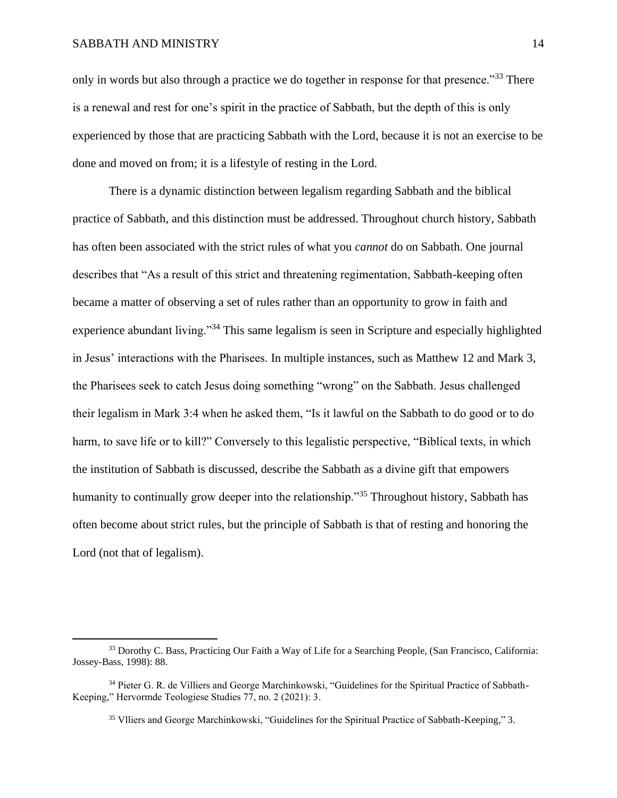only in words but also through a practice we do together in response for that presence.<sup>33</sup> There is a renewal and rest for one's spirit in the practice of Sabbath, but the depth of this is only experienced by those that are practicing Sabbath with the Lord, because it is not an exercise to be done and moved on from; it is a lifestyle of resting in the Lord.

There is a dynamic distinction between legalism regarding Sabbath and the biblical practice of Sabbath, and this distinction must be addressed. Throughout church history, Sabbath has often been associated with the strict rules of what you *cannot* do on Sabbath. One journal describes that "As a result of this strict and threatening regimentation, Sabbath-keeping often became a matter of observing a set of rules rather than an opportunity to grow in faith and experience abundant living."<sup>34</sup> This same legalism is seen in Scripture and especially highlighted in Jesus' interactions with the Pharisees. In multiple instances, such as Matthew 12 and Mark 3, the Pharisees seek to catch Jesus doing something "wrong" on the Sabbath. Jesus challenged their legalism in Mark 3:4 when he asked them, "Is it lawful on the Sabbath to do good or to do harm, to save life or to kill?" Conversely to this legalistic perspective, "Biblical texts, in which the institution of Sabbath is discussed, describe the Sabbath as a divine gift that empowers humanity to continually grow deeper into the relationship.<sup>35</sup> Throughout history, Sabbath has often become about strict rules, but the principle of Sabbath is that of resting and honoring the Lord (not that of legalism).

<sup>&</sup>lt;sup>33</sup> Dorothy C. Bass, Practicing Our Faith a Way of Life for a Searching People, (San Francisco, California: Jossey-Bass, 1998): 88.

<sup>&</sup>lt;sup>34</sup> Pieter G. R. de Villiers and George Marchinkowski, "Guidelines for the Spiritual Practice of Sabbath-Keeping," Hervormde Teologiese Studies 77, no. 2 (2021): 3.

<sup>&</sup>lt;sup>35</sup> Vlliers and George Marchinkowski, "Guidelines for the Spiritual Practice of Sabbath-Keeping," 3.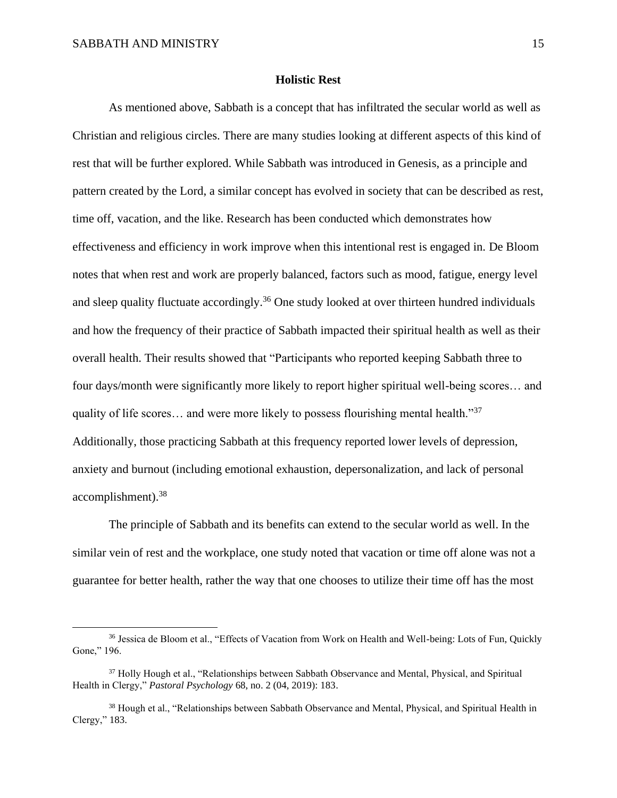#### **Holistic Rest**

As mentioned above, Sabbath is a concept that has infiltrated the secular world as well as Christian and religious circles. There are many studies looking at different aspects of this kind of rest that will be further explored. While Sabbath was introduced in Genesis, as a principle and pattern created by the Lord, a similar concept has evolved in society that can be described as rest, time off, vacation, and the like. Research has been conducted which demonstrates how effectiveness and efficiency in work improve when this intentional rest is engaged in. De Bloom notes that when rest and work are properly balanced, factors such as mood, fatigue, energy level and sleep quality fluctuate accordingly.<sup>36</sup> One study looked at over thirteen hundred individuals and how the frequency of their practice of Sabbath impacted their spiritual health as well as their overall health. Their results showed that "Participants who reported keeping Sabbath three to four days/month were significantly more likely to report higher spiritual well-being scores… and quality of life scores… and were more likely to possess flourishing mental health."<sup>37</sup> Additionally, those practicing Sabbath at this frequency reported lower levels of depression, anxiety and burnout (including emotional exhaustion, depersonalization, and lack of personal accomplishment).<sup>38</sup>

The principle of Sabbath and its benefits can extend to the secular world as well. In the similar vein of rest and the workplace, one study noted that vacation or time off alone was not a guarantee for better health, rather the way that one chooses to utilize their time off has the most

<sup>36</sup> Jessica de Bloom et al., "Effects of Vacation from Work on Health and Well-being: Lots of Fun, Quickly Gone," 196.

<sup>&</sup>lt;sup>37</sup> Holly Hough et al., "Relationships between Sabbath Observance and Mental, Physical, and Spiritual Health in Clergy," *Pastoral Psychology* 68, no. 2 (04, 2019): 183.

<sup>&</sup>lt;sup>38</sup> Hough et al., "Relationships between Sabbath Observance and Mental, Physical, and Spiritual Health in Clergy," 183.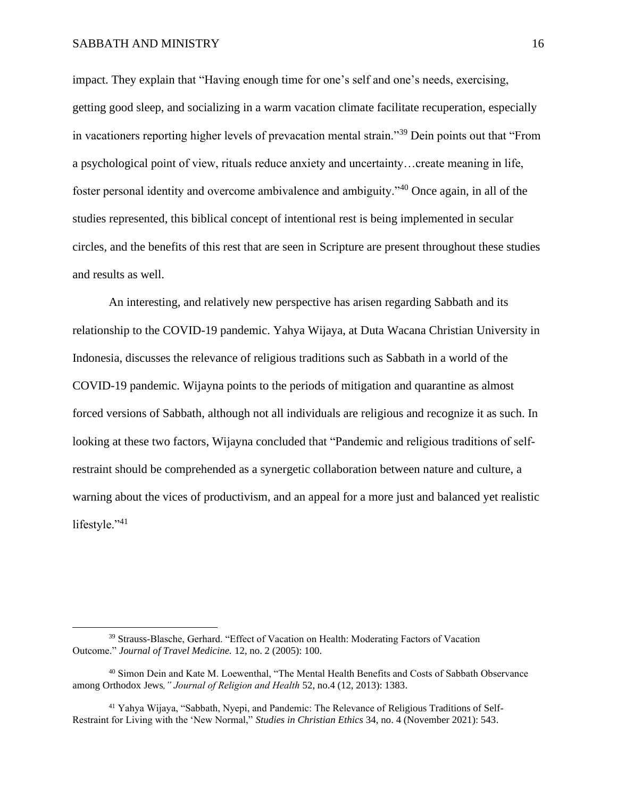impact. They explain that "Having enough time for one's self and one's needs, exercising, getting good sleep, and socializing in a warm vacation climate facilitate recuperation, especially in vacationers reporting higher levels of prevacation mental strain."<sup>39</sup> Dein points out that "From a psychological point of view, rituals reduce anxiety and uncertainty…create meaning in life, foster personal identity and overcome ambivalence and ambiguity."<sup>40</sup> Once again, in all of the studies represented, this biblical concept of intentional rest is being implemented in secular circles, and the benefits of this rest that are seen in Scripture are present throughout these studies and results as well.

An interesting, and relatively new perspective has arisen regarding Sabbath and its relationship to the COVID-19 pandemic. Yahya Wijaya, at Duta Wacana Christian University in Indonesia, discusses the relevance of religious traditions such as Sabbath in a world of the COVID-19 pandemic. Wijayna points to the periods of mitigation and quarantine as almost forced versions of Sabbath, although not all individuals are religious and recognize it as such. In looking at these two factors, Wijayna concluded that "Pandemic and religious traditions of selfrestraint should be comprehended as a synergetic collaboration between nature and culture, a warning about the vices of productivism, and an appeal for a more just and balanced yet realistic lifestyle."<sup>41</sup>

<sup>39</sup> Strauss-Blasche, Gerhard. "Effect of Vacation on Health: Moderating Factors of Vacation Outcome." *Journal of Travel Medicine.* 12, no. 2 (2005): 100.

<sup>40</sup> Simon Dein and Kate M. Loewenthal, "The Mental Health Benefits and Costs of Sabbath Observance among Orthodox Jews*," Journal of Religion and Health* 52, no.4 (12, 2013): 1383.

<sup>41</sup> Yahya Wijaya, "Sabbath, Nyepi, and Pandemic: The Relevance of Religious Traditions of Self-Restraint for Living with the 'New Normal," *Studies in Christian Ethics* 34, no. 4 (November 2021): 543.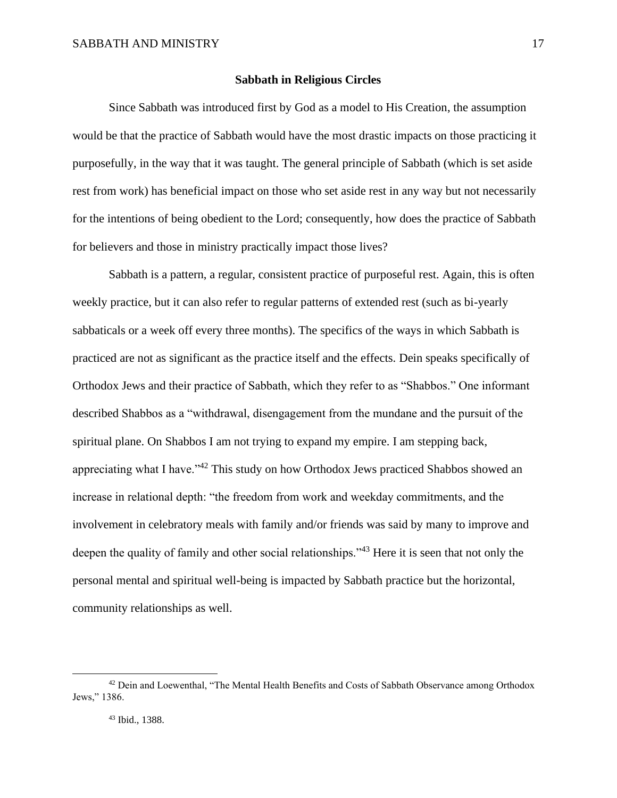## **Sabbath in Religious Circles**

Since Sabbath was introduced first by God as a model to His Creation, the assumption would be that the practice of Sabbath would have the most drastic impacts on those practicing it purposefully, in the way that it was taught. The general principle of Sabbath (which is set aside rest from work) has beneficial impact on those who set aside rest in any way but not necessarily for the intentions of being obedient to the Lord; consequently, how does the practice of Sabbath for believers and those in ministry practically impact those lives?

Sabbath is a pattern, a regular, consistent practice of purposeful rest. Again, this is often weekly practice, but it can also refer to regular patterns of extended rest (such as bi-yearly sabbaticals or a week off every three months). The specifics of the ways in which Sabbath is practiced are not as significant as the practice itself and the effects. Dein speaks specifically of Orthodox Jews and their practice of Sabbath, which they refer to as "Shabbos." One informant described Shabbos as a "withdrawal, disengagement from the mundane and the pursuit of the spiritual plane. On Shabbos I am not trying to expand my empire. I am stepping back, appreciating what I have."<sup>42</sup> This study on how Orthodox Jews practiced Shabbos showed an increase in relational depth: "the freedom from work and weekday commitments, and the involvement in celebratory meals with family and/or friends was said by many to improve and deepen the quality of family and other social relationships."<sup>43</sup> Here it is seen that not only the personal mental and spiritual well-being is impacted by Sabbath practice but the horizontal, community relationships as well.

<sup>&</sup>lt;sup>42</sup> Dein and Loewenthal, "The Mental Health Benefits and Costs of Sabbath Observance among Orthodox Jews," 1386.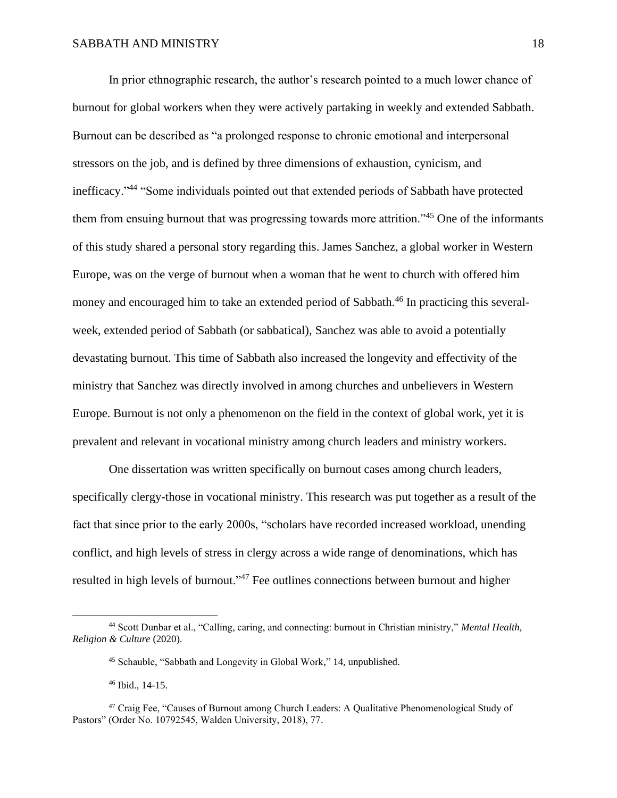In prior ethnographic research, the author's research pointed to a much lower chance of burnout for global workers when they were actively partaking in weekly and extended Sabbath. Burnout can be described as "a prolonged response to chronic emotional and interpersonal stressors on the job, and is defined by three dimensions of exhaustion, cynicism, and inefficacy."<sup>44</sup> "Some individuals pointed out that extended periods of Sabbath have protected them from ensuing burnout that was progressing towards more attrition."<sup>45</sup> One of the informants of this study shared a personal story regarding this. James Sanchez, a global worker in Western Europe, was on the verge of burnout when a woman that he went to church with offered him money and encouraged him to take an extended period of Sabbath.<sup>46</sup> In practicing this severalweek, extended period of Sabbath (or sabbatical), Sanchez was able to avoid a potentially devastating burnout. This time of Sabbath also increased the longevity and effectivity of the ministry that Sanchez was directly involved in among churches and unbelievers in Western Europe. Burnout is not only a phenomenon on the field in the context of global work, yet it is prevalent and relevant in vocational ministry among church leaders and ministry workers.

One dissertation was written specifically on burnout cases among church leaders, specifically clergy-those in vocational ministry. This research was put together as a result of the fact that since prior to the early 2000s, "scholars have recorded increased workload, unending conflict, and high levels of stress in clergy across a wide range of denominations, which has resulted in high levels of burnout."<sup>47</sup> Fee outlines connections between burnout and higher

<sup>44</sup> Scott Dunbar et al., "Calling, caring, and connecting: burnout in Christian ministry," *Mental Health, Religion & Culture* (2020).

<sup>45</sup> Schauble, "Sabbath and Longevity in Global Work," 14, unpublished.

<sup>46</sup> Ibid., 14-15.

<sup>47</sup> Craig Fee, "Causes of Burnout among Church Leaders: A Qualitative Phenomenological Study of Pastors" (Order No. 10792545, Walden University, 2018), 77.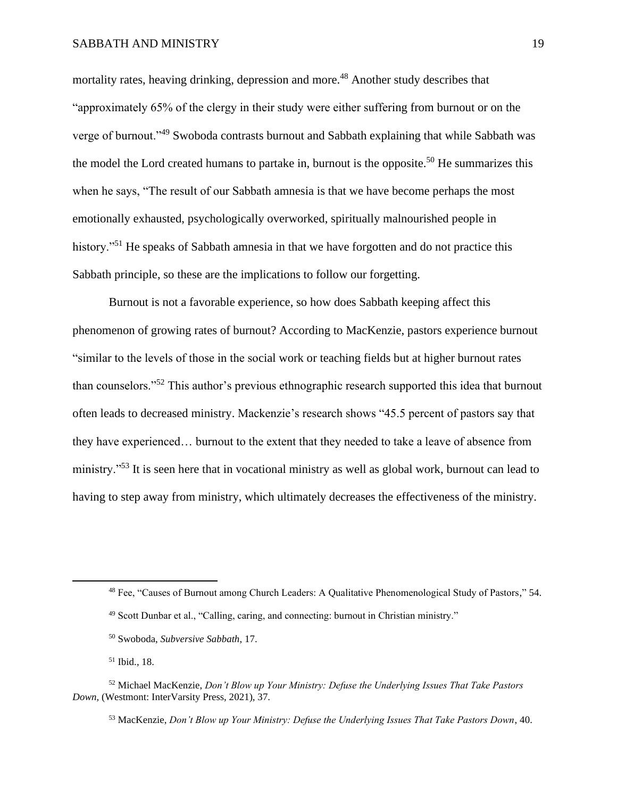mortality rates, heaving drinking, depression and more.<sup>48</sup> Another study describes that "approximately 65% of the clergy in their study were either suffering from burnout or on the verge of burnout."<sup>49</sup> Swoboda contrasts burnout and Sabbath explaining that while Sabbath was the model the Lord created humans to partake in, burnout is the opposite.<sup>50</sup> He summarizes this when he says, "The result of our Sabbath amnesia is that we have become perhaps the most emotionally exhausted, psychologically overworked, spiritually malnourished people in history."<sup>51</sup> He speaks of Sabbath amnesia in that we have forgotten and do not practice this Sabbath principle, so these are the implications to follow our forgetting.

Burnout is not a favorable experience, so how does Sabbath keeping affect this phenomenon of growing rates of burnout? According to MacKenzie, pastors experience burnout "similar to the levels of those in the social work or teaching fields but at higher burnout rates than counselors."<sup>52</sup> This author's previous ethnographic research supported this idea that burnout often leads to decreased ministry. Mackenzie's research shows "45.5 percent of pastors say that they have experienced… burnout to the extent that they needed to take a leave of absence from ministry."<sup>53</sup> It is seen here that in vocational ministry as well as global work, burnout can lead to having to step away from ministry, which ultimately decreases the effectiveness of the ministry.

<sup>48</sup> Fee, "Causes of Burnout among Church Leaders: A Qualitative Phenomenological Study of Pastors," 54.

<sup>49</sup> Scott Dunbar et al., "Calling, caring, and connecting: burnout in Christian ministry."

<sup>50</sup> Swoboda, *Subversive Sabbath*, 17.

<sup>51</sup> Ibid., 18.

<sup>52</sup> Michael MacKenzie, *Don't Blow up Your Ministry: Defuse the Underlying Issues That Take Pastors Down,* (Westmont: InterVarsity Press, 2021), 37.

<sup>53</sup> MacKenzie, *Don't Blow up Your Ministry: Defuse the Underlying Issues That Take Pastors Down*, 40.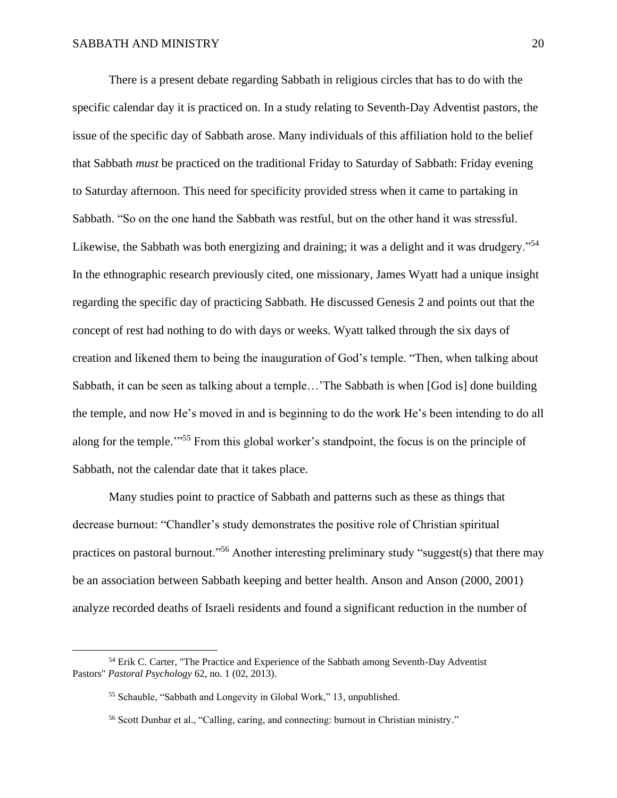There is a present debate regarding Sabbath in religious circles that has to do with the specific calendar day it is practiced on. In a study relating to Seventh-Day Adventist pastors, the issue of the specific day of Sabbath arose. Many individuals of this affiliation hold to the belief that Sabbath *must* be practiced on the traditional Friday to Saturday of Sabbath: Friday evening to Saturday afternoon. This need for specificity provided stress when it came to partaking in Sabbath. "So on the one hand the Sabbath was restful, but on the other hand it was stressful. Likewise, the Sabbath was both energizing and draining; it was a delight and it was drudgery."<sup>54</sup> In the ethnographic research previously cited, one missionary, James Wyatt had a unique insight regarding the specific day of practicing Sabbath. He discussed Genesis 2 and points out that the concept of rest had nothing to do with days or weeks. Wyatt talked through the six days of creation and likened them to being the inauguration of God's temple. "Then, when talking about Sabbath, it can be seen as talking about a temple…'The Sabbath is when [God is] done building the temple, and now He's moved in and is beginning to do the work He's been intending to do all along for the temple.<sup>"55</sup> From this global worker's standpoint, the focus is on the principle of Sabbath, not the calendar date that it takes place.

Many studies point to practice of Sabbath and patterns such as these as things that decrease burnout: "Chandler's study demonstrates the positive role of Christian spiritual practices on pastoral burnout."<sup>56</sup> Another interesting preliminary study "suggest(s) that there may be an association between Sabbath keeping and better health. Anson and Anson (2000, 2001) analyze recorded deaths of Israeli residents and found a significant reduction in the number of

<sup>&</sup>lt;sup>54</sup> Erik C. Carter, "The Practice and Experience of the Sabbath among Seventh-Day Adventist Pastors" *Pastoral Psychology* 62, no. 1 (02, 2013).

<sup>55</sup> Schauble, "Sabbath and Longevity in Global Work," 13, unpublished.

<sup>56</sup> Scott Dunbar et al., "Calling, caring, and connecting: burnout in Christian ministry."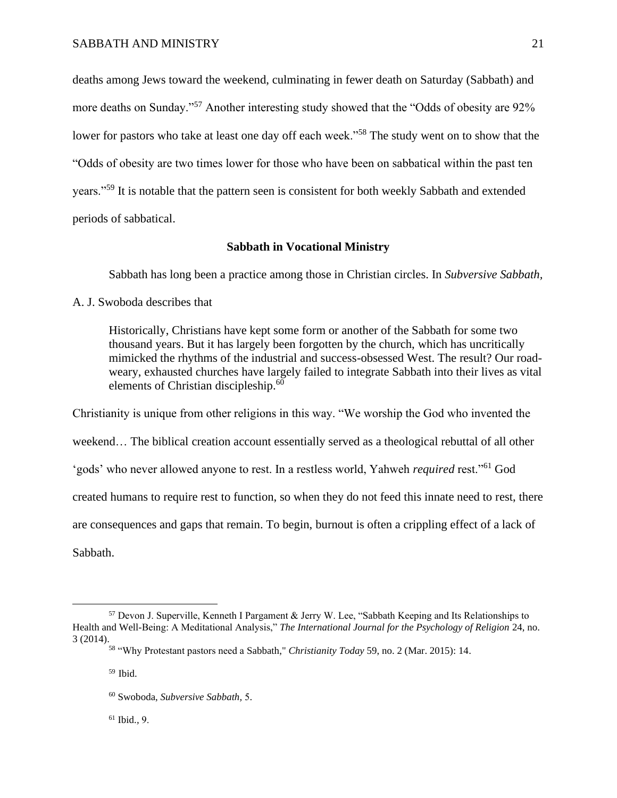deaths among Jews toward the weekend, culminating in fewer death on Saturday (Sabbath) and more deaths on Sunday."<sup>57</sup> Another interesting study showed that the "Odds of obesity are 92% lower for pastors who take at least one day off each week."<sup>58</sup> The study went on to show that the "Odds of obesity are two times lower for those who have been on sabbatical within the past ten years."<sup>59</sup> It is notable that the pattern seen is consistent for both weekly Sabbath and extended periods of sabbatical.

## **Sabbath in Vocational Ministry**

Sabbath has long been a practice among those in Christian circles. In *Subversive Sabbath,*

## A. J. Swoboda describes that

Historically, Christians have kept some form or another of the Sabbath for some two thousand years. But it has largely been forgotten by the church, which has uncritically mimicked the rhythms of the industrial and success-obsessed West. The result? Our roadweary, exhausted churches have largely failed to integrate Sabbath into their lives as vital elements of Christian discipleship.<sup>60</sup>

Christianity is unique from other religions in this way. "We worship the God who invented the weekend… The biblical creation account essentially served as a theological rebuttal of all other 'gods' who never allowed anyone to rest. In a restless world, Yahweh *required* rest."<sup>61</sup> God created humans to require rest to function, so when they do not feed this innate need to rest, there are consequences and gaps that remain. To begin, burnout is often a crippling effect of a lack of Sabbath.

<sup>61</sup> Ibid.*,* 9.

<sup>57</sup> Devon J. Superville, Kenneth I Pargament & Jerry W. Lee, "Sabbath Keeping and Its Relationships to Health and Well-Being: A Meditational Analysis," *The International Journal for the Psychology of Religion* 24, no. 3 (2014).

<sup>58</sup> "Why Protestant pastors need a Sabbath," *Christianity Today* 59, no. 2 (Mar. 2015): 14.

<sup>59</sup> Ibid.

<sup>60</sup> Swoboda, *Subversive Sabbath,* 5.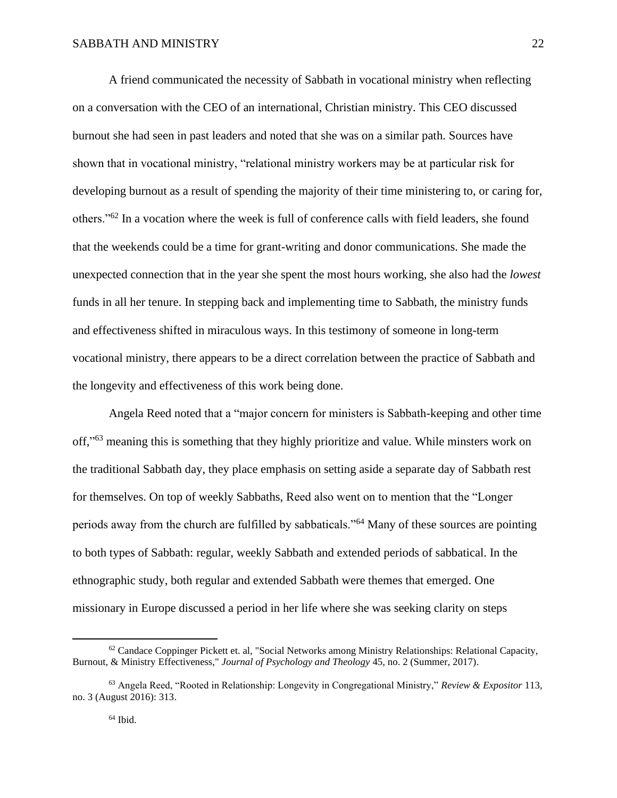A friend communicated the necessity of Sabbath in vocational ministry when reflecting on a conversation with the CEO of an international, Christian ministry. This CEO discussed burnout she had seen in past leaders and noted that she was on a similar path. Sources have shown that in vocational ministry, "relational ministry workers may be at particular risk for developing burnout as a result of spending the majority of their time ministering to, or caring for, others."<sup>62</sup> In a vocation where the week is full of conference calls with field leaders, she found that the weekends could be a time for grant-writing and donor communications. She made the unexpected connection that in the year she spent the most hours working, she also had the *lowest* funds in all her tenure. In stepping back and implementing time to Sabbath, the ministry funds and effectiveness shifted in miraculous ways. In this testimony of someone in long-term vocational ministry, there appears to be a direct correlation between the practice of Sabbath and the longevity and effectiveness of this work being done.

Angela Reed noted that a "major concern for ministers is Sabbath-keeping and other time off,"<sup>63</sup> meaning this is something that they highly prioritize and value. While minsters work on the traditional Sabbath day, they place emphasis on setting aside a separate day of Sabbath rest for themselves. On top of weekly Sabbaths, Reed also went on to mention that the "Longer periods away from the church are fulfilled by sabbaticals."<sup>64</sup> Many of these sources are pointing to both types of Sabbath: regular, weekly Sabbath and extended periods of sabbatical. In the ethnographic study, both regular and extended Sabbath were themes that emerged. One missionary in Europe discussed a period in her life where she was seeking clarity on steps

 $62$  Candace Coppinger Pickett et. al, "Social Networks among Ministry Relationships: Relational Capacity, Burnout, & Ministry Effectiveness," *Journal of Psychology and Theology* 45, no. 2 (Summer, 2017).

<sup>63</sup> Angela Reed, "Rooted in Relationship: Longevity in Congregational Ministry," *Review & Expositor* 113, no. 3 (August 2016): 313.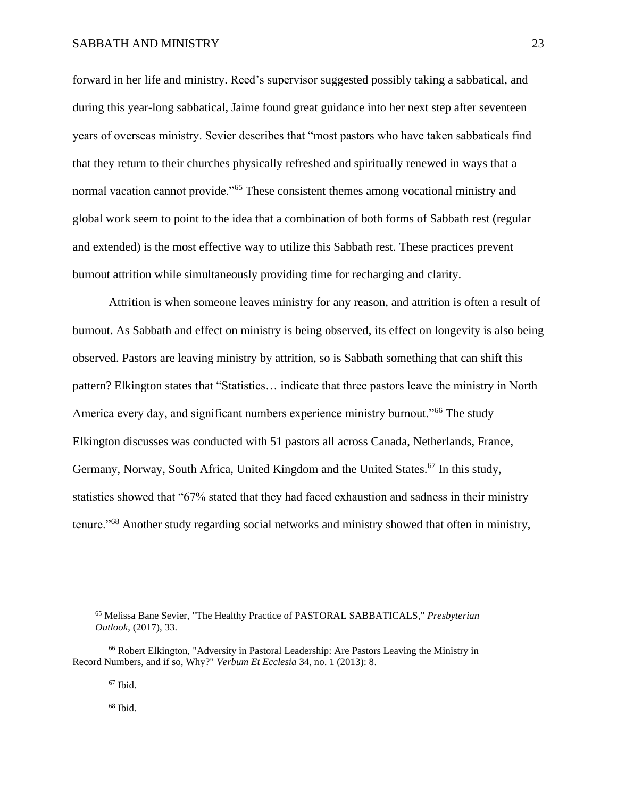forward in her life and ministry. Reed's supervisor suggested possibly taking a sabbatical, and during this year-long sabbatical, Jaime found great guidance into her next step after seventeen years of overseas ministry. Sevier describes that "most pastors who have taken sabbaticals find that they return to their churches physically refreshed and spiritually renewed in ways that a normal vacation cannot provide."<sup>65</sup> These consistent themes among vocational ministry and global work seem to point to the idea that a combination of both forms of Sabbath rest (regular and extended) is the most effective way to utilize this Sabbath rest. These practices prevent burnout attrition while simultaneously providing time for recharging and clarity.

Attrition is when someone leaves ministry for any reason, and attrition is often a result of burnout. As Sabbath and effect on ministry is being observed, its effect on longevity is also being observed. Pastors are leaving ministry by attrition, so is Sabbath something that can shift this pattern? Elkington states that "Statistics… indicate that three pastors leave the ministry in North America every day, and significant numbers experience ministry burnout."<sup>66</sup> The study Elkington discusses was conducted with 51 pastors all across Canada, Netherlands, France, Germany, Norway, South Africa, United Kingdom and the United States.<sup>67</sup> In this study, statistics showed that "67% stated that they had faced exhaustion and sadness in their ministry tenure."<sup>68</sup> Another study regarding social networks and ministry showed that often in ministry,

<sup>67</sup> Ibid.

 $68$  Ibid.

<sup>65</sup> Melissa Bane Sevier, "The Healthy Practice of PASTORAL SABBATICALS," *Presbyterian Outlook*, (2017), 33.

<sup>66</sup> Robert Elkington, "Adversity in Pastoral Leadership: Are Pastors Leaving the Ministry in Record Numbers, and if so, Why?" *Verbum Et Ecclesia* 34, no. 1 (2013): 8.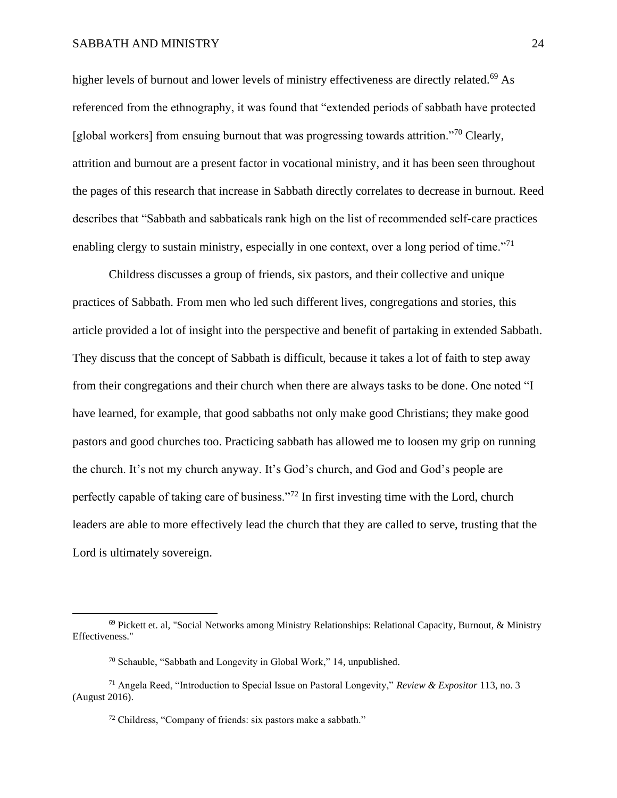higher levels of burnout and lower levels of ministry effectiveness are directly related.<sup>69</sup> As referenced from the ethnography, it was found that "extended periods of sabbath have protected [global workers] from ensuing burnout that was progressing towards attrition."<sup>70</sup> Clearly, attrition and burnout are a present factor in vocational ministry, and it has been seen throughout the pages of this research that increase in Sabbath directly correlates to decrease in burnout. Reed describes that "Sabbath and sabbaticals rank high on the list of recommended self-care practices enabling clergy to sustain ministry, especially in one context, over a long period of time. $171$ 

Childress discusses a group of friends, six pastors, and their collective and unique practices of Sabbath. From men who led such different lives, congregations and stories, this article provided a lot of insight into the perspective and benefit of partaking in extended Sabbath. They discuss that the concept of Sabbath is difficult, because it takes a lot of faith to step away from their congregations and their church when there are always tasks to be done. One noted "I have learned, for example, that good sabbaths not only make good Christians; they make good pastors and good churches too. Practicing sabbath has allowed me to loosen my grip on running the church. It's not my church anyway. It's God's church, and God and God's people are perfectly capable of taking care of business."<sup>72</sup> In first investing time with the Lord, church leaders are able to more effectively lead the church that they are called to serve, trusting that the Lord is ultimately sovereign.

 $69$  Pickett et. al, "Social Networks among Ministry Relationships: Relational Capacity, Burnout, & Ministry Effectiveness."

<sup>70</sup> Schauble, "Sabbath and Longevity in Global Work," 14, unpublished.

<sup>71</sup> Angela Reed, "Introduction to Special Issue on Pastoral Longevity," *Review & Expositor* 113, no. 3 (August 2016).

<sup>72</sup> Childress, "Company of friends: six pastors make a sabbath."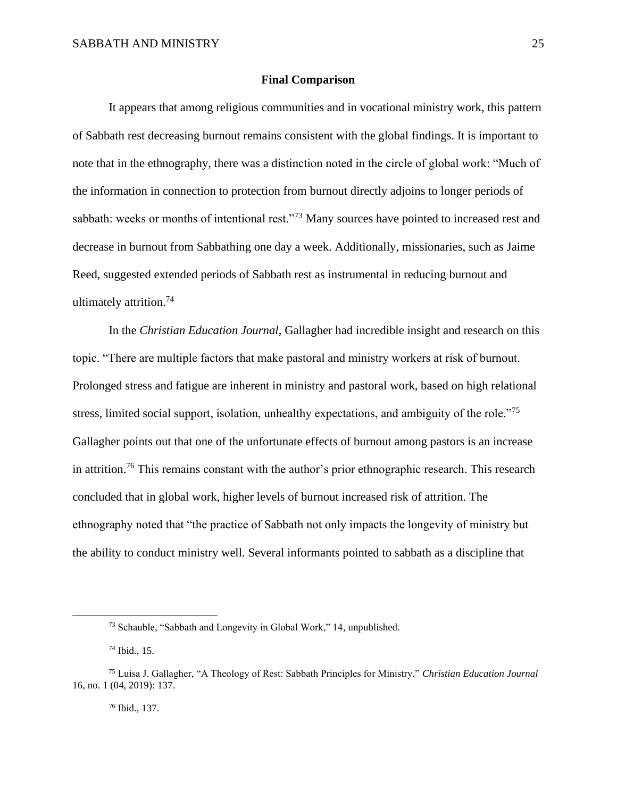## **Final Comparison**

It appears that among religious communities and in vocational ministry work, this pattern of Sabbath rest decreasing burnout remains consistent with the global findings. It is important to note that in the ethnography, there was a distinction noted in the circle of global work: "Much of the information in connection to protection from burnout directly adjoins to longer periods of sabbath: weeks or months of intentional rest."<sup>73</sup> Many sources have pointed to increased rest and decrease in burnout from Sabbathing one day a week. Additionally, missionaries, such as Jaime Reed, suggested extended periods of Sabbath rest as instrumental in reducing burnout and ultimately attrition.<sup>74</sup>

In the *Christian Education Journal,* Gallagher had incredible insight and research on this topic. "There are multiple factors that make pastoral and ministry workers at risk of burnout. Prolonged stress and fatigue are inherent in ministry and pastoral work, based on high relational stress, limited social support, isolation, unhealthy expectations, and ambiguity of the role."<sup>75</sup> Gallagher points out that one of the unfortunate effects of burnout among pastors is an increase in attrition.<sup>76</sup> This remains constant with the author's prior ethnographic research. This research concluded that in global work, higher levels of burnout increased risk of attrition. The ethnography noted that "the practice of Sabbath not only impacts the longevity of ministry but the ability to conduct ministry well. Several informants pointed to sabbath as a discipline that

<sup>76</sup> Ibid., 137.

<sup>73</sup> Schauble, "Sabbath and Longevity in Global Work," 14, unpublished.

<sup>74</sup> Ibid., 15.

<sup>75</sup> Luisa J. Gallagher, "A Theology of Rest: Sabbath Principles for Ministry," *Christian Education Journal*  16, no. 1 (04, 2019): 137.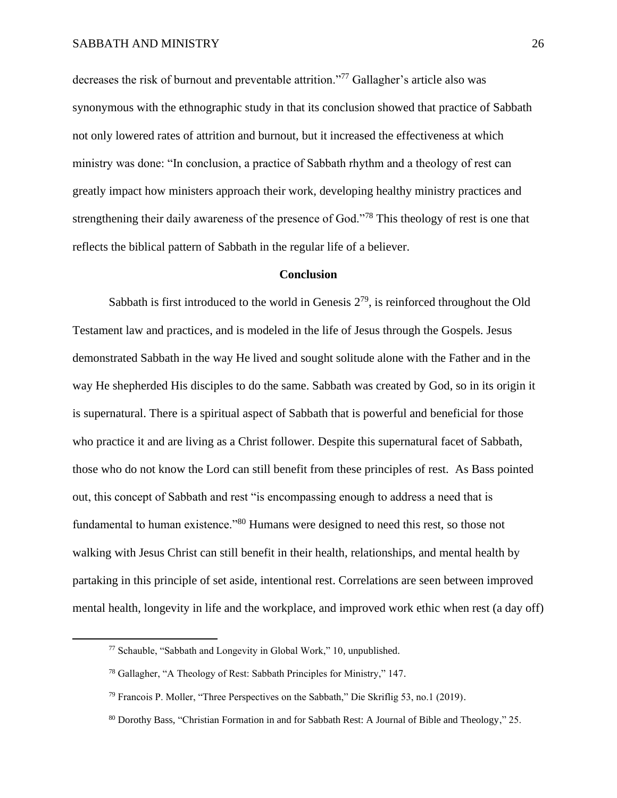decreases the risk of burnout and preventable attrition."<sup>77</sup> Gallagher's article also was synonymous with the ethnographic study in that its conclusion showed that practice of Sabbath not only lowered rates of attrition and burnout, but it increased the effectiveness at which ministry was done: "In conclusion, a practice of Sabbath rhythm and a theology of rest can greatly impact how ministers approach their work, developing healthy ministry practices and strengthening their daily awareness of the presence of God."<sup>78</sup> This theology of rest is one that reflects the biblical pattern of Sabbath in the regular life of a believer.

#### **Conclusion**

Sabbath is first introduced to the world in Genesis  $2^{79}$ , is reinforced throughout the Old Testament law and practices, and is modeled in the life of Jesus through the Gospels. Jesus demonstrated Sabbath in the way He lived and sought solitude alone with the Father and in the way He shepherded His disciples to do the same. Sabbath was created by God, so in its origin it is supernatural. There is a spiritual aspect of Sabbath that is powerful and beneficial for those who practice it and are living as a Christ follower. Despite this supernatural facet of Sabbath, those who do not know the Lord can still benefit from these principles of rest. As Bass pointed out, this concept of Sabbath and rest "is encompassing enough to address a need that is fundamental to human existence."<sup>80</sup> Humans were designed to need this rest, so those not walking with Jesus Christ can still benefit in their health, relationships, and mental health by partaking in this principle of set aside, intentional rest. Correlations are seen between improved mental health, longevity in life and the workplace, and improved work ethic when rest (a day off)

<sup>77</sup> Schauble, "Sabbath and Longevity in Global Work," 10, unpublished.

<sup>78</sup> Gallagher, "A Theology of Rest: Sabbath Principles for Ministry," 147.

<sup>79</sup> Francois P. Moller, "Three Perspectives on the Sabbath," Die Skriflig 53, no.1 (2019).

<sup>80</sup> Dorothy Bass, "Christian Formation in and for Sabbath Rest: A Journal of Bible and Theology," 25.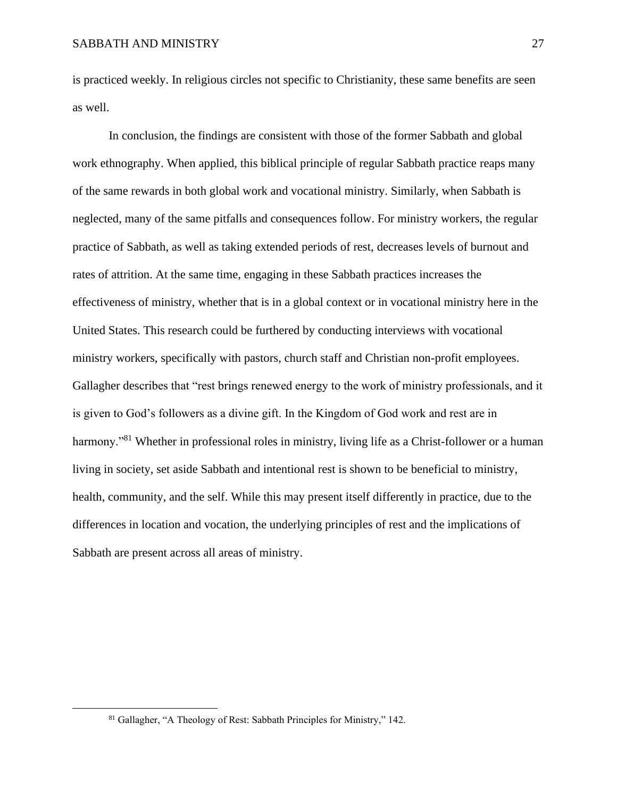is practiced weekly. In religious circles not specific to Christianity, these same benefits are seen as well.

In conclusion, the findings are consistent with those of the former Sabbath and global work ethnography. When applied, this biblical principle of regular Sabbath practice reaps many of the same rewards in both global work and vocational ministry. Similarly, when Sabbath is neglected, many of the same pitfalls and consequences follow. For ministry workers, the regular practice of Sabbath, as well as taking extended periods of rest, decreases levels of burnout and rates of attrition. At the same time, engaging in these Sabbath practices increases the effectiveness of ministry, whether that is in a global context or in vocational ministry here in the United States. This research could be furthered by conducting interviews with vocational ministry workers, specifically with pastors, church staff and Christian non-profit employees. Gallagher describes that "rest brings renewed energy to the work of ministry professionals, and it is given to God's followers as a divine gift. In the Kingdom of God work and rest are in harmony."<sup>81</sup> Whether in professional roles in ministry, living life as a Christ-follower or a human living in society, set aside Sabbath and intentional rest is shown to be beneficial to ministry, health, community, and the self. While this may present itself differently in practice, due to the differences in location and vocation, the underlying principles of rest and the implications of Sabbath are present across all areas of ministry.

<sup>81</sup> Gallagher, "A Theology of Rest: Sabbath Principles for Ministry," 142.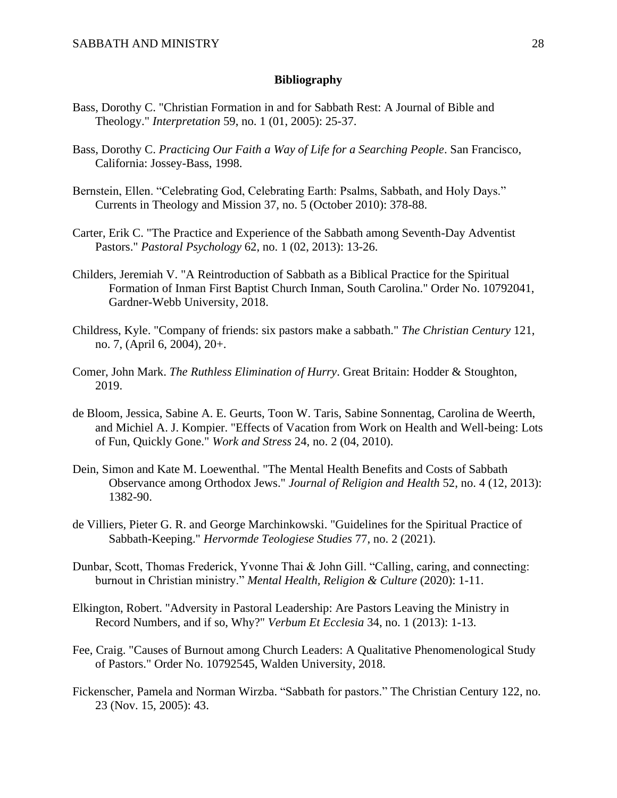## **Bibliography**

- Bass, Dorothy C. "Christian Formation in and for Sabbath Rest: A Journal of Bible and Theology." *Interpretation* 59, no. 1 (01, 2005): 25-37.
- Bass, Dorothy C. *Practicing Our Faith a Way of Life for a Searching People*. San Francisco, California: Jossey-Bass, 1998.
- Bernstein, Ellen. "Celebrating God, Celebrating Earth: Psalms, Sabbath, and Holy Days." Currents in Theology and Mission 37, no. 5 (October 2010): 378-88.
- Carter, Erik C. "The Practice and Experience of the Sabbath among Seventh-Day Adventist Pastors." *Pastoral Psychology* 62, no. 1 (02, 2013): 13-26.
- Childers, Jeremiah V. "A Reintroduction of Sabbath as a Biblical Practice for the Spiritual Formation of Inman First Baptist Church Inman, South Carolina." Order No. 10792041, Gardner-Webb University, 2018.
- Childress, Kyle. "Company of friends: six pastors make a sabbath." *The Christian Century* 121, no. 7, (April 6, 2004), 20+.
- Comer, John Mark. *The Ruthless Elimination of Hurry*. Great Britain: Hodder & Stoughton, 2019.
- de Bloom, Jessica, Sabine A. E. Geurts, Toon W. Taris, Sabine Sonnentag, Carolina de Weerth, and Michiel A. J. Kompier. "Effects of Vacation from Work on Health and Well-being: Lots of Fun, Quickly Gone." *Work and Stress* 24, no. 2 (04, 2010).
- Dein, Simon and Kate M. Loewenthal. "The Mental Health Benefits and Costs of Sabbath Observance among Orthodox Jews." *Journal of Religion and Health* 52, no. 4 (12, 2013): 1382-90.
- de Villiers, Pieter G. R. and George Marchinkowski. "Guidelines for the Spiritual Practice of Sabbath-Keeping." *Hervormde Teologiese Studies* 77, no. 2 (2021).
- Dunbar, Scott, Thomas Frederick, Yvonne Thai & John Gill. "Calling, caring, and connecting: burnout in Christian ministry." *Mental Health, Religion & Culture* (2020): 1-11.
- Elkington, Robert. "Adversity in Pastoral Leadership: Are Pastors Leaving the Ministry in Record Numbers, and if so, Why?" *Verbum Et Ecclesia* 34, no. 1 (2013): 1-13.
- Fee, Craig. "Causes of Burnout among Church Leaders: A Qualitative Phenomenological Study of Pastors." Order No. 10792545, Walden University, 2018.
- Fickenscher, Pamela and Norman Wirzba. "Sabbath for pastors." The Christian Century 122, no. 23 (Nov. 15, 2005): 43.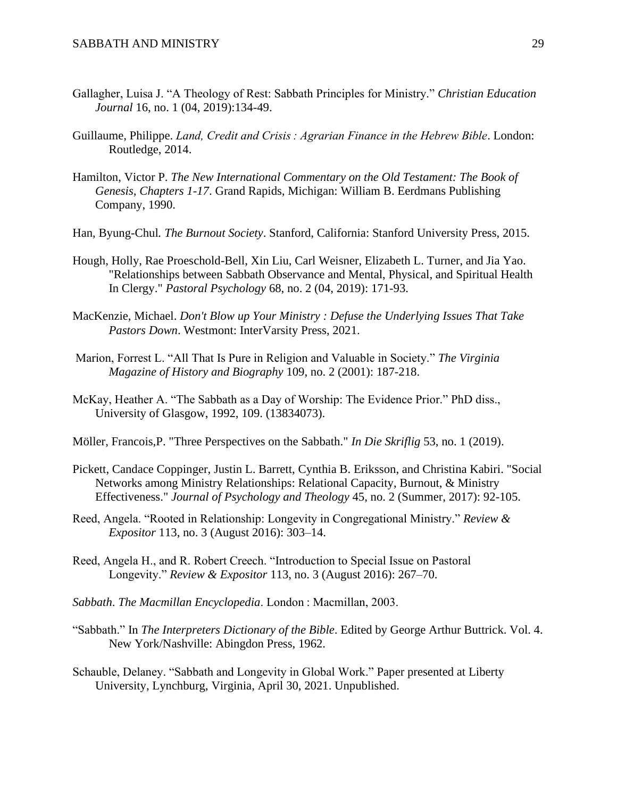- Gallagher, Luisa J. "A Theology of Rest: Sabbath Principles for Ministry." *Christian Education Journal* 16, no. 1 (04, 2019):134-49.
- Guillaume, Philippe. *Land, Credit and Crisis : Agrarian Finance in the Hebrew Bible*. London: Routledge, 2014.
- Hamilton, Victor P. *The New International Commentary on the Old Testament: The Book of Genesis, Chapters 1-17*. Grand Rapids, Michigan: William B. Eerdmans Publishing Company, 1990.
- Han, Byung-Chul*. The Burnout Society*. Stanford, California: Stanford University Press, 2015.
- Hough, Holly, Rae Proeschold-Bell, Xin Liu, Carl Weisner, Elizabeth L. Turner, and Jia Yao. "Relationships between Sabbath Observance and Mental, Physical, and Spiritual Health In Clergy." *Pastoral Psychology* 68, no. 2 (04, 2019): 171-93.
- MacKenzie, Michael. *Don't Blow up Your Ministry : Defuse the Underlying Issues That Take Pastors Down*. Westmont: InterVarsity Press, 2021.
- Marion, Forrest L. "All That Is Pure in Religion and Valuable in Society." *The Virginia Magazine of History and Biography* 109, no. 2 (2001): 187-218.
- McKay, Heather A. "The Sabbath as a Day of Worship: The Evidence Prior." PhD diss., University of Glasgow, 1992, 109. (13834073).
- Möller, Francois,P. "Three Perspectives on the Sabbath." *In Die Skriflig* 53, no. 1 (2019).
- Pickett, Candace Coppinger, Justin L. Barrett, Cynthia B. Eriksson, and Christina Kabiri. "Social Networks among Ministry Relationships: Relational Capacity, Burnout, & Ministry Effectiveness." *Journal of Psychology and Theology* 45, no. 2 (Summer, 2017): 92-105.
- Reed, Angela. "Rooted in Relationship: Longevity in Congregational Ministry." *Review & Expositor* 113, no. 3 (August 2016): 303–14.
- Reed, Angela H., and R. Robert Creech. "Introduction to Special Issue on Pastoral Longevity." *Review & Expositor* 113, no. 3 (August 2016): 267–70.
- *Sabbath*. *The Macmillan Encyclopedia*. London : Macmillan, 2003.
- "Sabbath." In *The Interpreters Dictionary of the Bible*. Edited by George Arthur Buttrick. Vol. 4. New York/Nashville: Abingdon Press, 1962.
- Schauble, Delaney. "Sabbath and Longevity in Global Work." Paper presented at Liberty University, Lynchburg, Virginia, April 30, 2021. Unpublished.